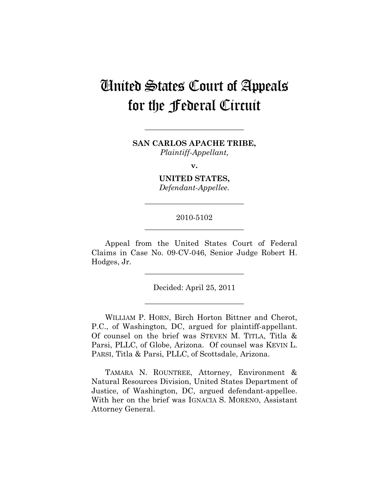# United States Court of Appeals for the Federal Circuit

**SAN CARLOS APACHE TRIBE,**  *Plaintiff-Appellant,* 

**\_\_\_\_\_\_\_\_\_\_\_\_\_\_\_\_\_\_\_\_\_\_\_\_\_\_** 

**v.** 

**UNITED STATES,**  *Defendant-Appellee.* 

**\_\_\_\_\_\_\_\_\_\_\_\_\_\_\_\_\_\_\_\_\_\_\_\_\_\_** 

## 2010-5102 **\_\_\_\_\_\_\_\_\_\_\_\_\_\_\_\_\_\_\_\_\_\_\_\_\_\_**

Appeal from the United States Court of Federal Claims in Case No. 09-CV-046, Senior Judge Robert H. Hodges, Jr.

**\_\_\_\_\_\_\_\_\_\_\_\_\_\_\_\_\_\_\_\_\_\_\_\_\_\_** 

Decided: April 25, 2011

**\_\_\_\_\_\_\_\_\_\_\_\_\_\_\_\_\_\_\_\_\_\_\_\_\_\_** 

WILLIAM P. HORN, Birch Horton Bittner and Cherot, P.C., of Washington, DC, argued for plaintiff-appellant. Of counsel on the brief was STEVEN M. TITLA, Titla & Parsi, PLLC, of Globe, Arizona. Of counsel was KEVIN L. PARSI, Titla & Parsi, PLLC, of Scottsdale, Arizona.

TAMARA N. ROUNTREE, Attorney, Environment & Natural Resources Division, United States Department of Justice, of Washington, DC, argued defendant-appellee. With her on the brief was IGNACIA S. MORENO, Assistant Attorney General.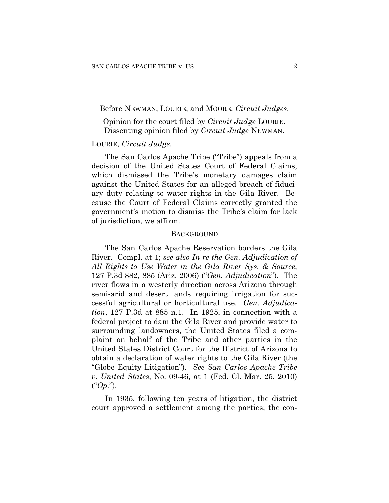Before NEWMAN, LOURIE, and MOORE, *Circuit Judges*.

**\_\_\_\_\_\_\_\_\_\_\_\_\_\_\_\_\_\_\_\_\_\_\_\_\_\_** 

Opinion for the court filed by *Circuit Judge* LOURIE. Dissenting opinion filed by *Circuit Judge* NEWMAN.

## LOURIE, *Circuit Judge*.

The San Carlos Apache Tribe ("Tribe") appeals from a decision of the United States Court of Federal Claims, which dismissed the Tribe's monetary damages claim against the United States for an alleged breach of fiduciary duty relating to water rights in the Gila River. Because the Court of Federal Claims correctly granted the government's motion to dismiss the Tribe's claim for lack of jurisdiction, we affirm.

#### **BACKGROUND**

The San Carlos Apache Reservation borders the Gila River. Compl. at 1; *see also In re the Gen. Adjudication of All Rights to Use Water in the Gila River Sys. & Source*, 127 P.3d 882, 885 (Ariz. 2006) ("*Gen. Adjudication*"). The river flows in a westerly direction across Arizona through semi-arid and desert lands requiring irrigation for successful agricultural or horticultural use. *Gen. Adjudication*, 127 P.3d at 885 n.1. In 1925, in connection with a federal project to dam the Gila River and provide water to surrounding landowners, the United States filed a complaint on behalf of the Tribe and other parties in the United States District Court for the District of Arizona to obtain a declaration of water rights to the Gila River (the "Globe Equity Litigation"). *See San Carlos Apache Tribe v. United States*, No. 09-46, at 1 (Fed. Cl. Mar. 25, 2010) ("*Op.*").

In 1935, following ten years of litigation, the district court approved a settlement among the parties; the con-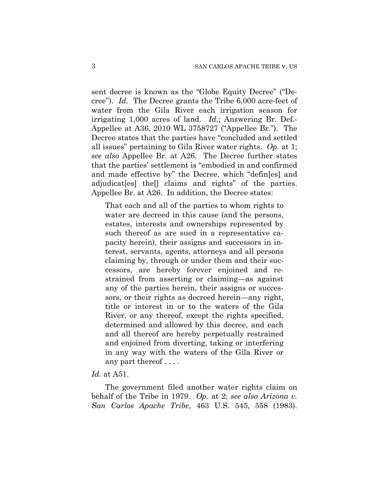sent decree is known as the "Globe Equity Decree" ("Decree"). *Id.* The Decree grants the Tribe 6,000 acre-feet of water from the Gila River each irrigation season for irrigating 1,000 acres of land. *Id.*; Answering Br. Def.- Appellee at A36, 2010 WL 3758727 ("Appellee Br."). The Decree states that the parties have "concluded and settled all issues" pertaining to Gila River water rights. *Op.* at 1; *see also* Appellee Br. at A26. The Decree further states that the parties' settlement is "embodied in and confirmed and made effective by" the Decree, which "defin[es] and adjudicat[es] the[] claims and rights" of the parties. Appellee Br. at A26. In addition, the Decree states:

That each and all of the parties to whom rights to water are decreed in this cause (and the persons, estates, interests and ownerships represented by such thereof as are sued in a representative capacity herein), their assigns and successors in interest, servants, agents, attorneys and all persons claiming by, through or under them and their successors, are hereby forever enjoined and restrained from asserting or claiming—as against any of the parties herein, their assigns or successors, or their rights as decreed herein—any right, title or interest in or to the waters of the Gila River, or any thereof, except the rights specified, determined and allowed by this decree, and each and all thereof are hereby perpetually restrained and enjoined from diverting, taking or interfering in any way with the waters of the Gila River or any part thereof . . . .

#### *Id.* at A51.

The government filed another water rights claim on behalf of the Tribe in 1979. *Op.* at 2; *see also Arizona v. San Carlos Apache Tribe*, 463 U.S. 545, 558 (1983).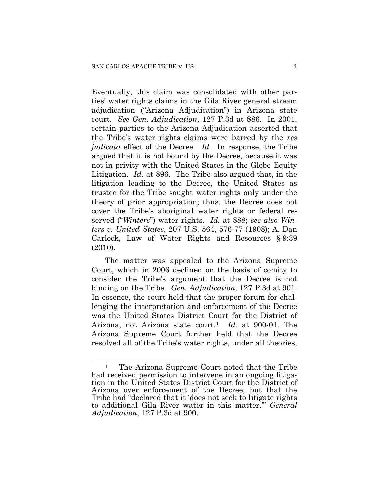Eventually, this claim was consolidated with other parties' water rights claims in the Gila River general stream adjudication ("Arizona Adjudication") in Arizona state court. *See Gen. Adjudication*, 127 P.3d at 886. In 2001, certain parties to the Arizona Adjudication asserted that the Tribe's water rights claims were barred by the *res judicata* effect of the Decree. *Id.* In response, the Tribe argued that it is not bound by the Decree, because it was not in privity with the United States in the Globe Equity Litigation. *Id.* at 896. The Tribe also argued that, in the litigation leading to the Decree, the United States as trustee for the Tribe sought water rights only under the theory of prior appropriation; thus, the Decree does not cover the Tribe's aboriginal water rights or federal reserved ("*Winters*") water rights. *Id.* at 888; *see also Winters v. United States*, 207 U.S. 564, 576-77 (1908); A. Dan Carlock, Law of Water Rights and Resources § 9:39 (2010).

The matter was appealed to the Arizona Supreme Court, which in 2006 declined on the basis of comity to consider the Tribe's argument that the Decree is not binding on the Tribe. *Gen. Adjudication*, 127 P.3d at 901. In essence, the court held that the proper forum for challenging the interpretation and enforcement of the Decree was the United States District Court for the District of Arizona, not Arizona state court.[1](#page-3-0) *Id.* at 900-01. The Arizona Supreme Court further held that the Decree resolved all of the Tribe's water rights, under all theories,

 $\overline{a}$ 

<span id="page-3-0"></span><sup>&</sup>lt;sup>1</sup> The Arizona Supreme Court noted that the Tribe had received permission to intervene in an ongoing litigation in the United States District Court for the District of Arizona over enforcement of the Decree, but that the Tribe had "declared that it 'does not seek to litigate rights to additional Gila River water in this matter.'" *General Adjudication*, 127 P.3d at 900.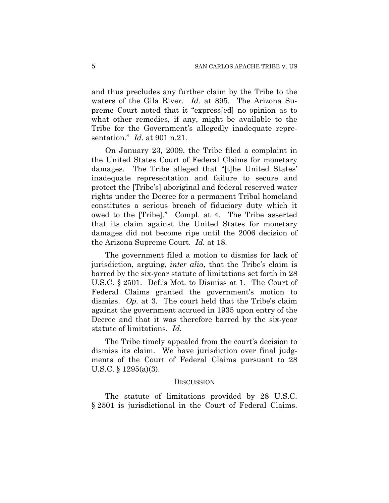and thus precludes any further claim by the Tribe to the waters of the Gila River. *Id.* at 895. The Arizona Supreme Court noted that it "express[ed] no opinion as to what other remedies, if any, might be available to the Tribe for the Government's allegedly inadequate representation." *Id.* at 901 n.21.

On January 23, 2009, the Tribe filed a complaint in the United States Court of Federal Claims for monetary damages. The Tribe alleged that "[t]he United States' inadequate representation and failure to secure and protect the [Tribe's] aboriginal and federal reserved water rights under the Decree for a permanent Tribal homeland constitutes a serious breach of fiduciary duty which it owed to the [Tribe]." Compl. at 4. The Tribe asserted that its claim against the United States for monetary damages did not become ripe until the 2006 decision of the Arizona Supreme Court. *Id.* at 18.

The government filed a motion to dismiss for lack of jurisdiction, arguing, *inter alia*, that the Tribe's claim is barred by the six-year statute of limitations set forth in 28 U.S.C. § 2501. Def.'s Mot. to Dismiss at 1. The Court of Federal Claims granted the government's motion to dismiss. *Op.* at 3. The court held that the Tribe's claim against the government accrued in 1935 upon entry of the Decree and that it was therefore barred by the six-year statute of limitations. *Id.*

The Tribe timely appealed from the court's decision to dismiss its claim. We have jurisdiction over final judgments of the Court of Federal Claims pursuant to 28 U.S.C. § 1295(a)(3).

#### **DISCUSSION**

The statute of limitations provided by 28 U.S.C. § 2501 is jurisdictional in the Court of Federal Claims.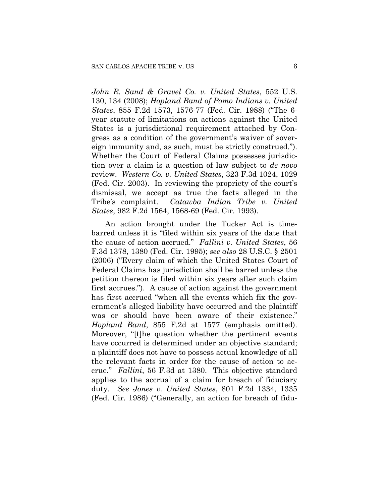*John R. Sand & Gravel Co. v. United States*, 552 U.S. 130, 134 (2008); *Hopland Band of Pomo Indians v. United States*, 855 F.2d 1573, 1576-77 (Fed. Cir. 1988) ("The 6 year statute of limitations on actions against the United States is a jurisdictional requirement attached by Congress as a condition of the government's waiver of sovereign immunity and, as such, must be strictly construed."). Whether the Court of Federal Claims possesses jurisdiction over a claim is a question of law subject to *de novo* review. *Western Co. v. United States*, 323 F.3d 1024, 1029 (Fed. Cir. 2003). In reviewing the propriety of the court's dismissal, we accept as true the facts alleged in the Tribe's complaint. *Catawba Indian Tribe v. United States*, 982 F.2d 1564, 1568-69 (Fed. Cir. 1993).

An action brought under the Tucker Act is timebarred unless it is "filed within six years of the date that the cause of action accrued." *Fallini v. United States*, 56 F.3d 1378, 1380 (Fed. Cir. 1995); *see also* 28 U.S.C. § 2501 (2006) ("Every claim of which the United States Court of Federal Claims has jurisdiction shall be barred unless the petition thereon is filed within six years after such claim first accrues."). A cause of action against the government has first accrued "when all the events which fix the government's alleged liability have occurred and the plaintiff was or should have been aware of their existence." *Hopland Band*, 855 F.2d at 1577 (emphasis omitted). Moreover, "[t]he question whether the pertinent events have occurred is determined under an objective standard; a plaintiff does not have to possess actual knowledge of all the relevant facts in order for the cause of action to accrue." *Fallini*, 56 F.3d at 1380. This objective standard applies to the accrual of a claim for breach of fiduciary duty. *See Jones v. United States*, 801 F.2d 1334, 1335 (Fed. Cir. 1986) ("Generally, an action for breach of fidu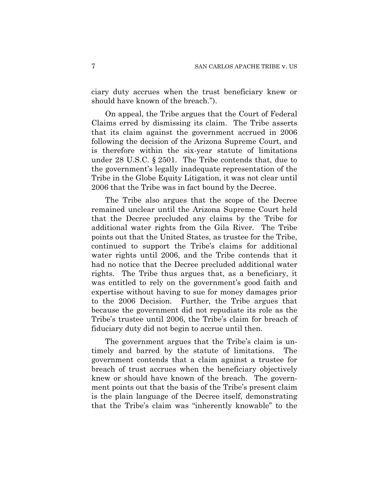ciary duty accrues when the trust beneficiary knew or should have known of the breach.").

On appeal, the Tribe argues that the Court of Federal Claims erred by dismissing its claim. The Tribe asserts that its claim against the government accrued in 2006 following the decision of the Arizona Supreme Court, and is therefore within the six-year statute of limitations under 28 U.S.C. § 2501. The Tribe contends that, due to the government's legally inadequate representation of the Tribe in the Globe Equity Litigation, it was not clear until 2006 that the Tribe was in fact bound by the Decree.

The Tribe also argues that the scope of the Decree remained unclear until the Arizona Supreme Court held that the Decree precluded any claims by the Tribe for additional water rights from the Gila River. The Tribe points out that the United States, as trustee for the Tribe, continued to support the Tribe's claims for additional water rights until 2006, and the Tribe contends that it had no notice that the Decree precluded additional water rights. The Tribe thus argues that, as a beneficiary, it was entitled to rely on the government's good faith and expertise without having to sue for money damages prior to the 2006 Decision. Further, the Tribe argues that because the government did not repudiate its role as the Tribe's trustee until 2006, the Tribe's claim for breach of fiduciary duty did not begin to accrue until then.

The government argues that the Tribe's claim is untimely and barred by the statute of limitations. The government contends that a claim against a trustee for breach of trust accrues when the beneficiary objectively knew or should have known of the breach. The government points out that the basis of the Tribe's present claim is the plain language of the Decree itself, demonstrating that the Tribe's claim was "inherently knowable" to the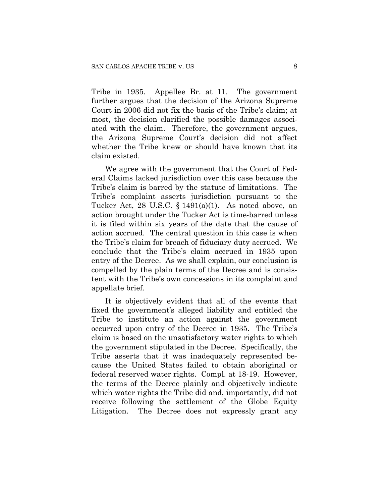Tribe in 1935. Appellee Br. at 11. The government further argues that the decision of the Arizona Supreme Court in 2006 did not fix the basis of the Tribe's claim; at most, the decision clarified the possible damages associated with the claim. Therefore, the government argues, the Arizona Supreme Court's decision did not affect whether the Tribe knew or should have known that its claim existed.

We agree with the government that the Court of Federal Claims lacked jurisdiction over this case because the Tribe's claim is barred by the statute of limitations. The Tribe's complaint asserts jurisdiction pursuant to the Tucker Act, 28 U.S.C. § 1491(a)(1). As noted above, an action brought under the Tucker Act is time-barred unless it is filed within six years of the date that the cause of action accrued. The central question in this case is when the Tribe's claim for breach of fiduciary duty accrued. We conclude that the Tribe's claim accrued in 1935 upon entry of the Decree. As we shall explain, our conclusion is compelled by the plain terms of the Decree and is consistent with the Tribe's own concessions in its complaint and appellate brief.

It is objectively evident that all of the events that fixed the government's alleged liability and entitled the Tribe to institute an action against the government occurred upon entry of the Decree in 1935. The Tribe's claim is based on the unsatisfactory water rights to which the government stipulated in the Decree. Specifically, the Tribe asserts that it was inadequately represented because the United States failed to obtain aboriginal or federal reserved water rights. Compl. at 18-19. However, the terms of the Decree plainly and objectively indicate which water rights the Tribe did and, importantly, did not receive following the settlement of the Globe Equity Litigation. The Decree does not expressly grant any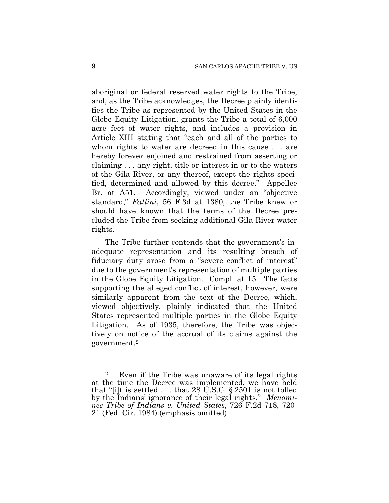aboriginal or federal reserved water rights to the Tribe, and, as the Tribe acknowledges, the Decree plainly identifies the Tribe as represented by the United States in the Globe Equity Litigation, grants the Tribe a total of 6,000 acre feet of water rights, and includes a provision in Article XIII stating that "each and all of the parties to whom rights to water are decreed in this cause . . . are hereby forever enjoined and restrained from asserting or claiming . . . any right, title or interest in or to the waters of the Gila River, or any thereof, except the rights specified, determined and allowed by this decree." Appellee Br. at A51. Accordingly, viewed under an "objective standard," *Fallini*, 56 F.3d at 1380, the Tribe knew or should have known that the terms of the Decree precluded the Tribe from seeking additional Gila River water rights.

The Tribe further contends that the government's inadequate representation and its resulting breach of fiduciary duty arose from a "severe conflict of interest" due to the government's representation of multiple parties in the Globe Equity Litigation. Compl. at 15. The facts supporting the alleged conflict of interest, however, were similarly apparent from the text of the Decree, which, viewed objectively, plainly indicated that the United States represented multiple parties in the Globe Equity Litigation. As of 1935, therefore, the Tribe was objectively on notice of the accrual of its claims against the government.[2](#page-8-0)

 $\overline{a}$ 

<span id="page-8-0"></span><sup>2</sup> Even if the Tribe was unaware of its legal rights at the time the Decree was implemented, we have held that "[i]t is settled  $\dots$  that 28 U.S.C. § 2501 is not tolled by the Indians' ignorance of their legal rights." *Menominee Tribe of Indians v. United States*, 726 F.2d 718, 720- 21 (Fed. Cir. 1984) (emphasis omitted).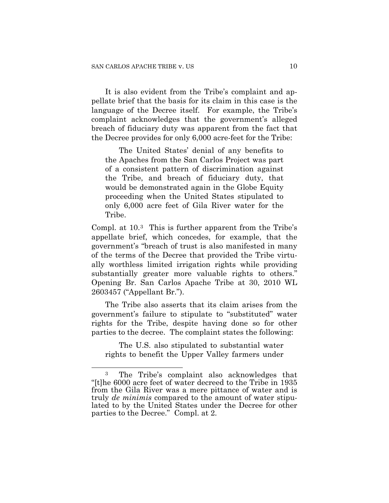It is also evident from the Tribe's complaint and appellate brief that the basis for its claim in this case is the language of the Decree itself. For example, the Tribe's complaint acknowledges that the government's alleged breach of fiduciary duty was apparent from the fact that the Decree provides for only 6,000 acre-feet for the Tribe:

The United States' denial of any benefits to the Apaches from the San Carlos Project was part of a consistent pattern of discrimination against the Tribe, and breach of fiduciary duty, that would be demonstrated again in the Globe Equity proceeding when the United States stipulated to only 6,000 acre feet of Gila River water for the Tribe.

Compl. at 10.[3](#page-9-0) This is further apparent from the Tribe's appellate brief, which concedes, for example, that the government's "breach of trust is also manifested in many of the terms of the Decree that provided the Tribe virtually worthless limited irrigation rights while providing substantially greater more valuable rights to others." Opening Br. San Carlos Apache Tribe at 30, 2010 WL 2603457 ("Appellant Br.").

The Tribe also asserts that its claim arises from the government's failure to stipulate to "substituted" water rights for the Tribe, despite having done so for other parties to the decree. The complaint states the following:

The U.S. also stipulated to substantial water rights to benefit the Upper Valley farmers under

1

<span id="page-9-0"></span><sup>3</sup> The Tribe's complaint also acknowledges that "[t]he 6000 acre feet of water decreed to the Tribe in 1935 from the Gila River was a mere pittance of water and is truly *de minimis* compared to the amount of water stipulated to by the United States under the Decree for other parties to the Decree." Compl. at 2.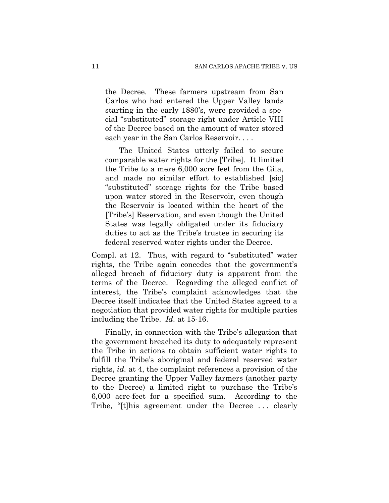the Decree. These farmers upstream from San Carlos who had entered the Upper Valley lands starting in the early 1880's, were provided a special "substituted" storage right under Article VIII of the Decree based on the amount of water stored each year in the San Carlos Reservoir. . . .

The United States utterly failed to secure comparable water rights for the [Tribe]. It limited the Tribe to a mere 6,000 acre feet from the Gila, and made no similar effort to established [sic] "substituted" storage rights for the Tribe based upon water stored in the Reservoir, even though the Reservoir is located within the heart of the [Tribe's] Reservation, and even though the United States was legally obligated under its fiduciary duties to act as the Tribe's trustee in securing its federal reserved water rights under the Decree.

Compl. at 12. Thus, with regard to "substituted" water rights, the Tribe again concedes that the government's alleged breach of fiduciary duty is apparent from the terms of the Decree. Regarding the alleged conflict of interest, the Tribe's complaint acknowledges that the Decree itself indicates that the United States agreed to a negotiation that provided water rights for multiple parties including the Tribe. *Id.* at 15-16.

Finally, in connection with the Tribe's allegation that the government breached its duty to adequately represent the Tribe in actions to obtain sufficient water rights to fulfill the Tribe's aboriginal and federal reserved water rights, *id.* at 4, the complaint references a provision of the Decree granting the Upper Valley farmers (another party to the Decree) a limited right to purchase the Tribe's 6,000 acre-feet for a specified sum. According to the Tribe, "[t]his agreement under the Decree . . . clearly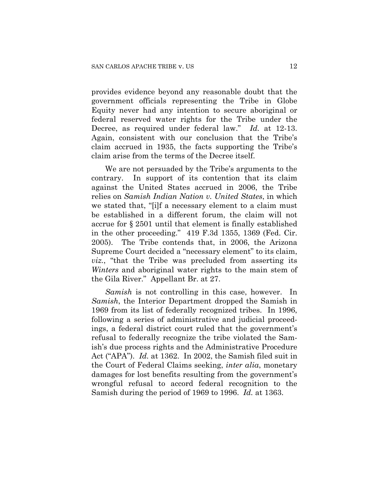provides evidence beyond any reasonable doubt that the government officials representing the Tribe in Globe Equity never had any intention to secure aboriginal or federal reserved water rights for the Tribe under the Decree, as required under federal law." *Id.* at 12-13. Again, consistent with our conclusion that the Tribe's claim accrued in 1935, the facts supporting the Tribe's claim arise from the terms of the Decree itself.

We are not persuaded by the Tribe's arguments to the contrary. In support of its contention that its claim against the United States accrued in 2006, the Tribe relies on *Samish Indian Nation v. United States*, in which we stated that, "[i]f a necessary element to a claim must be established in a different forum, the claim will not accrue for § 2501 until that element is finally established in the other proceeding." 419 F.3d 1355, 1369 (Fed. Cir. 2005). The Tribe contends that, in 2006, the Arizona Supreme Court decided a "necessary element" to its claim, *viz.*, "that the Tribe was precluded from asserting its *Winters* and aboriginal water rights to the main stem of the Gila River." Appellant Br. at 27.

*Samish* is not controlling in this case, however. In *Samish*, the Interior Department dropped the Samish in 1969 from its list of federally recognized tribes. In 1996, following a series of administrative and judicial proceedings, a federal district court ruled that the government's refusal to federally recognize the tribe violated the Samish's due process rights and the Administrative Procedure Act ("APA"). *Id.* at 1362. In 2002, the Samish filed suit in the Court of Federal Claims seeking, *inter alia*, monetary damages for lost benefits resulting from the government's wrongful refusal to accord federal recognition to the Samish during the period of 1969 to 1996. *Id.* at 1363.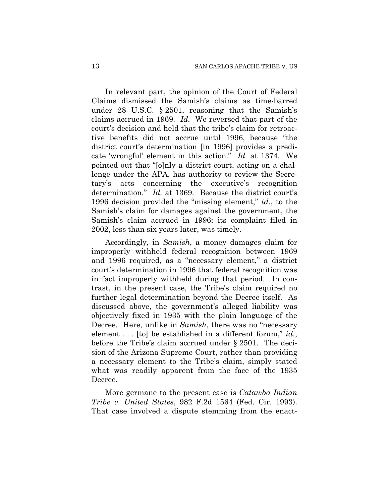In relevant part, the opinion of the Court of Federal Claims dismissed the Samish's claims as time-barred under 28 U.S.C. § 2501, reasoning that the Samish's claims accrued in 1969. *Id.* We reversed that part of the court's decision and held that the tribe's claim for retroactive benefits did not accrue until 1996, because "the district court's determination [in 1996] provides a predicate 'wrongful' element in this action." *Id.* at 1374. We pointed out that "[o]nly a district court, acting on a challenge under the APA, has authority to review the Secretary's acts concerning the executive's recognition determination." *Id.* at 1369. Because the district court's 1996 decision provided the "missing element," *id.*, to the Samish's claim for damages against the government, the Samish's claim accrued in 1996; its complaint filed in 2002, less than six years later, was timely.

Accordingly, in *Samish*, a money damages claim for improperly withheld federal recognition between 1969 and 1996 required, as a "necessary element," a district court's determination in 1996 that federal recognition was in fact improperly withheld during that period. In contrast, in the present case, the Tribe's claim required no further legal determination beyond the Decree itself. As discussed above, the government's alleged liability was objectively fixed in 1935 with the plain language of the Decree. Here, unlike in *Samish*, there was no "necessary element . . . [to] be established in a different forum," *id.*, before the Tribe's claim accrued under § 2501. The decision of the Arizona Supreme Court, rather than providing a necessary element to the Tribe's claim, simply stated what was readily apparent from the face of the 1935 Decree.

More germane to the present case is *Catawba Indian Tribe v. United States*, 982 F.2d 1564 (Fed. Cir. 1993). That case involved a dispute stemming from the enact-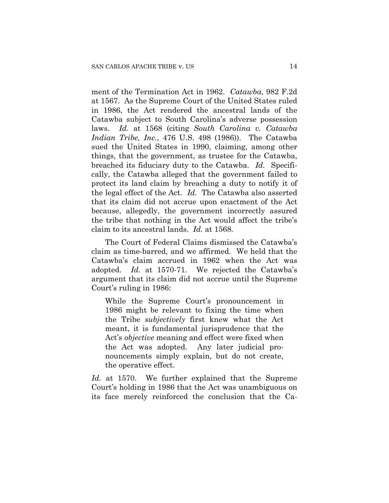ment of the Termination Act in 1962. *Catawba*, 982 F.2d at 1567. As the Supreme Court of the United States ruled in 1986, the Act rendered the ancestral lands of the Catawba subject to South Carolina's adverse possession laws. *Id.* at 1568 (citing *South Carolina v. Catawba Indian Tribe, Inc.*, 476 U.S. 498 (1986)). The Catawba sued the United States in 1990, claiming, among other things, that the government, as trustee for the Catawba, breached its fiduciary duty to the Catawba. *Id.* Specifically, the Catawba alleged that the government failed to protect its land claim by breaching a duty to notify it of the legal effect of the Act. *Id.* The Catawba also asserted that its claim did not accrue upon enactment of the Act because, allegedly, the government incorrectly assured the tribe that nothing in the Act would affect the tribe's claim to its ancestral lands. *Id.* at 1568.

The Court of Federal Claims dismissed the Catawba's claim as time-barred, and we affirmed. We held that the Catawba's claim accrued in 1962 when the Act was adopted. *Id.* at 1570-71. We rejected the Catawba's argument that its claim did not accrue until the Supreme Court's ruling in 1986:

While the Supreme Court's pronouncement in 1986 might be relevant to fixing the time when the Tribe *subjectively* first knew what the Act meant, it is fundamental jurisprudence that the Act's *objective* meaning and effect were fixed when the Act was adopted. Any later judicial pronouncements simply explain, but do not create, the operative effect.

*Id.* at 1570. We further explained that the Supreme Court's holding in 1986 that the Act was unambiguous on its face merely reinforced the conclusion that the Ca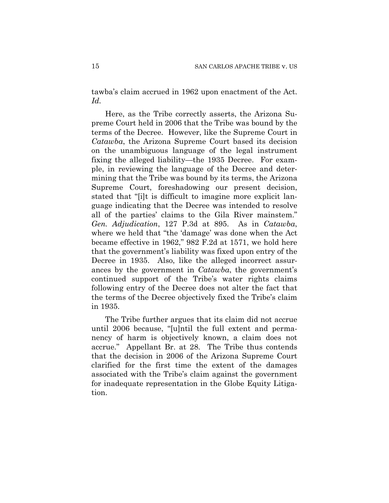tawba's claim accrued in 1962 upon enactment of the Act. *Id.*

Here, as the Tribe correctly asserts, the Arizona Supreme Court held in 2006 that the Tribe was bound by the terms of the Decree. However, like the Supreme Court in *Catawba*, the Arizona Supreme Court based its decision on the unambiguous language of the legal instrument fixing the alleged liability—the 1935 Decree. For example, in reviewing the language of the Decree and determining that the Tribe was bound by its terms, the Arizona Supreme Court, foreshadowing our present decision, stated that "[i]t is difficult to imagine more explicit language indicating that the Decree was intended to resolve all of the parties' claims to the Gila River mainstem." *Gen. Adjudication*, 127 P.3d at 895. As in *Catawba*, where we held that "the 'damage' was done when the Act became effective in 1962," 982 F.2d at 1571, we hold here that the government's liability was fixed upon entry of the Decree in 1935. Also, like the alleged incorrect assurances by the government in *Catawba*, the government's continued support of the Tribe's water rights claims following entry of the Decree does not alter the fact that the terms of the Decree objectively fixed the Tribe's claim in 1935.

The Tribe further argues that its claim did not accrue until 2006 because, "[u]ntil the full extent and permanency of harm is objectively known, a claim does not accrue." Appellant Br. at 28. The Tribe thus contends that the decision in 2006 of the Arizona Supreme Court clarified for the first time the extent of the damages associated with the Tribe's claim against the government for inadequate representation in the Globe Equity Litigation.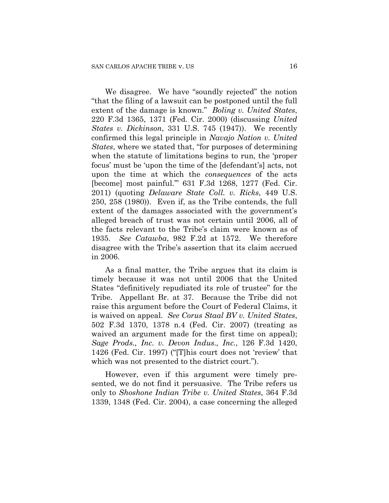We disagree. We have "soundly rejected" the notion "that the filing of a lawsuit can be postponed until the full extent of the damage is known." *Boling v. United States*, 220 F.3d 1365, 1371 (Fed. Cir. 2000) (discussing *United States v. Dickinson*, 331 U.S. 745 (1947)). We recently confirmed this legal principle in *Navajo Nation v. United States*, where we stated that, "for purposes of determining when the statute of limitations begins to run, the 'proper focus' must be 'upon the time of the [defendant's] acts, not upon the time at which the *consequences* of the acts [become] most painful.'" 631 F.3d 1268, 1277 (Fed. Cir. 2011) (quoting *Delaware State Coll. v. Ricks*, 449 U.S. 250, 258 (1980)). Even if, as the Tribe contends, the full extent of the damages associated with the government's alleged breach of trust was not certain until 2006, all of the facts relevant to the Tribe's claim were known as of 1935. *See Catawba*, 982 F.2d at 1572. We therefore disagree with the Tribe's assertion that its claim accrued in 2006.

As a final matter, the Tribe argues that its claim is timely because it was not until 2006 that the United States "definitively repudiated its role of trustee" for the Tribe. Appellant Br. at 37. Because the Tribe did not raise this argument before the Court of Federal Claims, it is waived on appeal. *See Corus Staal BV v. United States*, 502 F.3d 1370, 1378 n.4 (Fed. Cir. 2007) (treating as waived an argument made for the first time on appeal); *Sage Prods., Inc. v. Devon Indus., Inc.*, 126 F.3d 1420, 1426 (Fed. Cir. 1997) ("[T]his court does not 'review' that which was not presented to the district court.").

However, even if this argument were timely presented, we do not find it persuasive. The Tribe refers us only to *Shoshone Indian Tribe v. United States*, 364 F.3d 1339, 1348 (Fed. Cir. 2004), a case concerning the alleged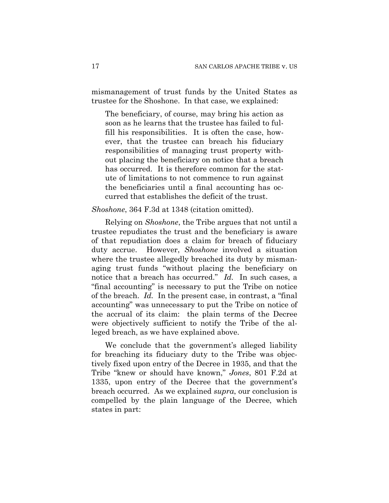mismanagement of trust funds by the United States as trustee for the Shoshone. In that case, we explained:

The beneficiary, of course, may bring his action as soon as he learns that the trustee has failed to fulfill his responsibilities. It is often the case, however, that the trustee can breach his fiduciary responsibilities of managing trust property without placing the beneficiary on notice that a breach has occurred. It is therefore common for the statute of limitations to not commence to run against the beneficiaries until a final accounting has occurred that establishes the deficit of the trust.

## *Shoshone*, 364 F.3d at 1348 (citation omitted).

Relying on *Shoshone*, the Tribe argues that not until a trustee repudiates the trust and the beneficiary is aware of that repudiation does a claim for breach of fiduciary duty accrue. However, *Shoshone* involved a situation where the trustee allegedly breached its duty by mismanaging trust funds "without placing the beneficiary on notice that a breach has occurred." *Id.* In such cases, a "final accounting" is necessary to put the Tribe on notice of the breach. *Id.* In the present case, in contrast, a "final accounting" was unnecessary to put the Tribe on notice of the accrual of its claim: the plain terms of the Decree were objectively sufficient to notify the Tribe of the alleged breach, as we have explained above.

We conclude that the government's alleged liability for breaching its fiduciary duty to the Tribe was objectively fixed upon entry of the Decree in 1935, and that the Tribe "knew or should have known," *Jones*, 801 F.2d at 1335, upon entry of the Decree that the government's breach occurred. As we explained *supra*, our conclusion is compelled by the plain language of the Decree, which states in part: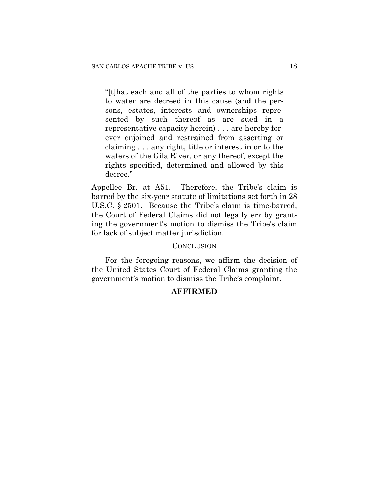"[t]hat each and all of the parties to whom rights to water are decreed in this cause (and the persons, estates, interests and ownerships represented by such thereof as are sued in a representative capacity herein) . . . are hereby forever enjoined and restrained from asserting or claiming . . . any right, title or interest in or to the waters of the Gila River, or any thereof, except the rights specified, determined and allowed by this decree."

Appellee Br. at A51. Therefore, the Tribe's claim is barred by the six-year statute of limitations set forth in 28 U.S.C. § 2501. Because the Tribe's claim is time-barred, the Court of Federal Claims did not legally err by granting the government's motion to dismiss the Tribe's claim for lack of subject matter jurisdiction.

### **CONCLUSION**

For the foregoing reasons, we affirm the decision of the United States Court of Federal Claims granting the government's motion to dismiss the Tribe's complaint.

# **AFFIRMED**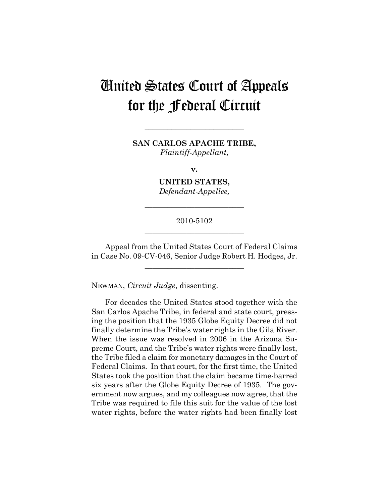# United States Court of Appeals for the Federal Circuit

**SAN CARLOS APACHE TRIBE,**  *Plaintiff-Appellant,* 

**\_\_\_\_\_\_\_\_\_\_\_\_\_\_\_\_\_\_\_\_\_\_\_\_\_\_** 

**v.** 

**UNITED STATES,**  *Defendant-Appellee,* 

**\_\_\_\_\_\_\_\_\_\_\_\_\_\_\_\_\_\_\_\_\_\_\_\_\_\_** 

## 2010-5102 **\_\_\_\_\_\_\_\_\_\_\_\_\_\_\_\_\_\_\_\_\_\_\_\_\_\_**

Appeal from the United States Court of Federal Claims in Case No. 09-CV-046, Senior Judge Robert H. Hodges, Jr.

**\_\_\_\_\_\_\_\_\_\_\_\_\_\_\_\_\_\_\_\_\_\_\_\_\_\_** 

NEWMAN, *Circuit Judge*, dissenting.

For decades the United States stood together with the San Carlos Apache Tribe, in federal and state court, pressing the position that the 1935 Globe Equity Decree did not finally determine the Tribe's water rights in the Gila River. When the issue was resolved in 2006 in the Arizona Supreme Court, and the Tribe's water rights were finally lost, the Tribe filed a claim for monetary damages in the Court of Federal Claims. In that court, for the first time, the United States took the position that the claim became time-barred six years after the Globe Equity Decree of 1935. The government now argues, and my colleagues now agree, that the Tribe was required to file this suit for the value of the lost water rights, before the water rights had been finally lost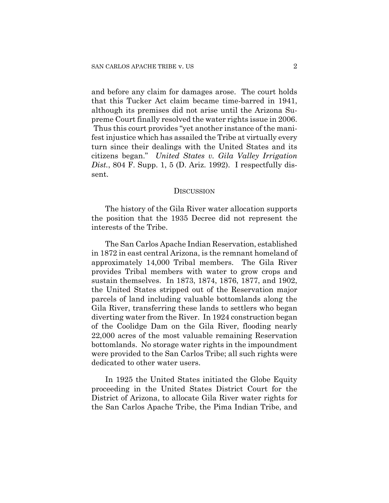and before any claim for damages arose. The court holds that this Tucker Act claim became time-barred in 1941, although its premises did not arise until the Arizona Supreme Court finally resolved the water rights issue in 2006. Thus this court provides "yet another instance of the manifest injustice which has assailed the Tribe at virtually every turn since their dealings with the United States and its citizens began." *United States v. Gila Valley Irrigation Dist.*, 804 F. Supp. 1, 5 (D. Ariz. 1992). I respectfully dissent.

#### **DISCUSSION**

The history of the Gila River water allocation supports the position that the 1935 Decree did not represent the interests of the Tribe.

The San Carlos Apache Indian Reservation, established in 1872 in east central Arizona, is the remnant homeland of approximately 14,000 Tribal members. The Gila River provides Tribal members with water to grow crops and sustain themselves. In 1873, 1874, 1876, 1877, and 1902, the United States stripped out of the Reservation major parcels of land including valuable bottomlands along the Gila River, transferring these lands to settlers who began diverting water from the River. In 1924 construction began of the Coolidge Dam on the Gila River, flooding nearly 22,000 acres of the most valuable remaining Reservation bottomlands. No storage water rights in the impoundment were provided to the San Carlos Tribe; all such rights were dedicated to other water users.

In 1925 the United States initiated the Globe Equity proceeding in the United States District Court for the District of Arizona, to allocate Gila River water rights for the San Carlos Apache Tribe, the Pima Indian Tribe, and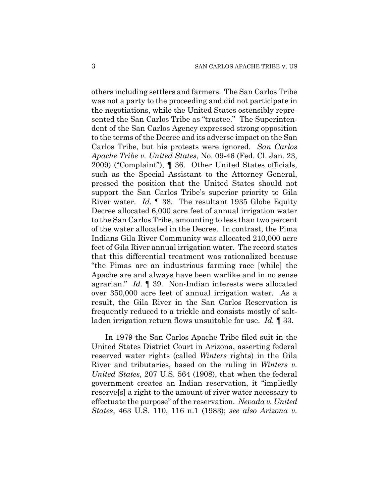others including settlers and farmers. The San Carlos Tribe was not a party to the proceeding and did not participate in the negotiations, while the United States ostensibly represented the San Carlos Tribe as "trustee." The Superintendent of the San Carlos Agency expressed strong opposition to the terms of the Decree and its adverse impact on the San Carlos Tribe, but his protests were ignored. *San Carlos Apache Tribe v. United States*, No. 09-46 (Fed. Cl. Jan. 23, 2009) ("Complaint"), ¶ 36. Other United States officials, such as the Special Assistant to the Attorney General, pressed the position that the United States should not support the San Carlos Tribe's superior priority to Gila River water. *Id.* ¶ 38. The resultant 1935 Globe Equity Decree allocated 6,000 acre feet of annual irrigation water to the San Carlos Tribe, amounting to less than two percent of the water allocated in the Decree. In contrast, the Pima Indians Gila River Community was allocated 210,000 acre feet of Gila River annual irrigation water. The record states that this differential treatment was rationalized because "the Pimas are an industrious farming race [while] the Apache are and always have been warlike and in no sense agrarian." *Id.* ¶ 39. Non-Indian interests were allocated over 350,000 acre feet of annual irrigation water. As a result, the Gila River in the San Carlos Reservation is frequently reduced to a trickle and consists mostly of saltladen irrigation return flows unsuitable for use. *Id.* ¶ 33.

In 1979 the San Carlos Apache Tribe filed suit in the United States District Court in Arizona, asserting federal reserved water rights (called *Winters* rights) in the Gila River and tributaries, based on the ruling in *Winters v. United States*, 207 U.S. 564 (1908), that when the federal government creates an Indian reservation, it "impliedly reserve[s] a right to the amount of river water necessary to effectuate the purpose" of the reservation. *Nevada v. United States*, 463 U.S. 110, 116 n.1 (1983); *see also Arizona v.*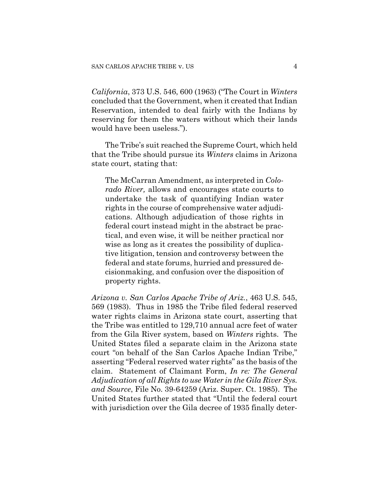*California*, 373 U.S. 546, 600 (1963) ("The Court in *Winters* concluded that the Government, when it created that Indian Reservation, intended to deal fairly with the Indians by reserving for them the waters without which their lands would have been useless.").

The Tribe's suit reached the Supreme Court, which held that the Tribe should pursue its *Winters* claims in Arizona state court, stating that:

The McCarran Amendment, as interpreted in *Colorado River,* allows and encourages state courts to undertake the task of quantifying Indian water rights in the course of comprehensive water adjudications. Although adjudication of those rights in federal court instead might in the abstract be practical, and even wise, it will be neither practical nor wise as long as it creates the possibility of duplicative litigation, tension and controversy between the federal and state forums, hurried and pressured decisionmaking, and confusion over the disposition of property rights.

*Arizona v. San Carlos Apache Tribe of Ariz.*, 463 U.S. 545, 569 (1983). Thus in 1985 the Tribe filed federal reserved water rights claims in Arizona state court, asserting that the Tribe was entitled to 129,710 annual acre feet of water from the Gila River system, based on *Winters* rights. The United States filed a separate claim in the Arizona state court "on behalf of the San Carlos Apache Indian Tribe," asserting "Federal reserved water rights" as the basis of the claim. Statement of Claimant Form, *In re: The General Adjudication of all Rights to use Water in the Gila River Sys. and Source*, File No. 39-64259 (Ariz. Super. Ct. 1985). The United States further stated that "Until the federal court with jurisdiction over the Gila decree of 1935 finally deter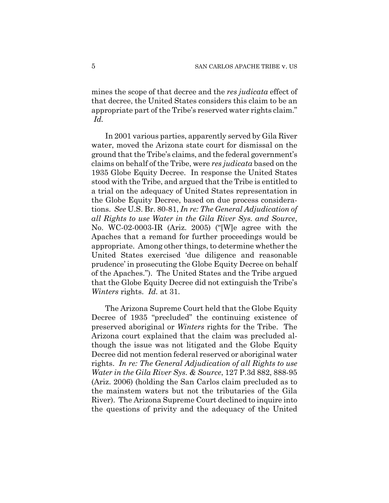mines the scope of that decree and the *res judicata* effect of that decree, the United States considers this claim to be an appropriate part of the Tribe's reserved water rights claim." *Id.*

In 2001 various parties, apparently served by Gila River water, moved the Arizona state court for dismissal on the ground that the Tribe's claims, and the federal government's claims on behalf of the Tribe, were *res judicata* based on the 1935 Globe Equity Decree. In response the United States stood with the Tribe, and argued that the Tribe is entitled to a trial on the adequacy of United States representation in the Globe Equity Decree, based on due process considerations. *See* U.S. Br. 80-81, *In re: The General Adjudication of all Rights to use Water in the Gila River Sys. and Source*, No. WC-02-0003-IR (Ariz. 2005) ("[W]e agree with the Apaches that a remand for further proceedings would be appropriate. Among other things, to determine whether the United States exercised 'due diligence and reasonable prudence' in prosecuting the Globe Equity Decree on behalf of the Apaches."). The United States and the Tribe argued that the Globe Equity Decree did not extinguish the Tribe's *Winters* rights. *Id.* at 31.

The Arizona Supreme Court held that the Globe Equity Decree of 1935 "precluded" the continuing existence of preserved aboriginal or *Winters* rights for the Tribe. The Arizona court explained that the claim was precluded although the issue was not litigated and the Globe Equity Decree did not mention federal reserved or aboriginal water rights. *In re: The General Adjudication of all Rights to use Water in the Gila River Sys. & Source*, 127 P.3d 882, 888-95 (Ariz. 2006) (holding the San Carlos claim precluded as to the mainstem waters but not the tributaries of the Gila River). The Arizona Supreme Court declined to inquire into the questions of privity and the adequacy of the United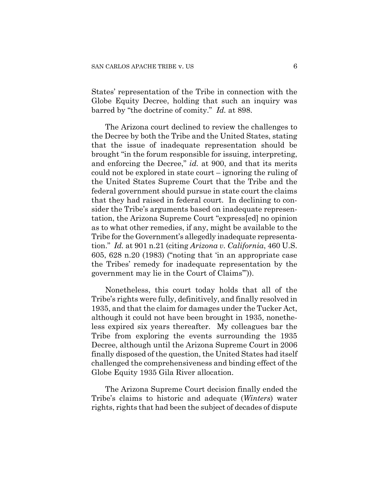States' representation of the Tribe in connection with the Globe Equity Decree, holding that such an inquiry was barred by "the doctrine of comity." *Id.* at 898.

The Arizona court declined to review the challenges to the Decree by both the Tribe and the United States, stating that the issue of inadequate representation should be brought "in the forum responsible for issuing, interpreting, and enforcing the Decree," *id.* at 900, and that its merits could not be explored in state court – ignoring the ruling of the United States Supreme Court that the Tribe and the federal government should pursue in state court the claims that they had raised in federal court. In declining to consider the Tribe's arguments based on inadequate representation, the Arizona Supreme Court "express[ed] no opinion as to what other remedies, if any, might be available to the Tribe for the Government's allegedly inadequate representation." *Id.* at 901 n.21 (citing *Arizona v. California*, 460 U.S. 605, 628 n.20 (1983) ("noting that 'in an appropriate case the Tribes' remedy for inadequate representation by the government may lie in the Court of Claims'")).

Nonetheless, this court today holds that all of the Tribe's rights were fully, definitively, and finally resolved in 1935, and that the claim for damages under the Tucker Act, although it could not have been brought in 1935, nonetheless expired six years thereafter. My colleagues bar the Tribe from exploring the events surrounding the 1935 Decree, although until the Arizona Supreme Court in 2006 finally disposed of the question, the United States had itself challenged the comprehensiveness and binding effect of the Globe Equity 1935 Gila River allocation.

The Arizona Supreme Court decision finally ended the Tribe's claims to historic and adequate (*Winters*) water rights, rights that had been the subject of decades of dispute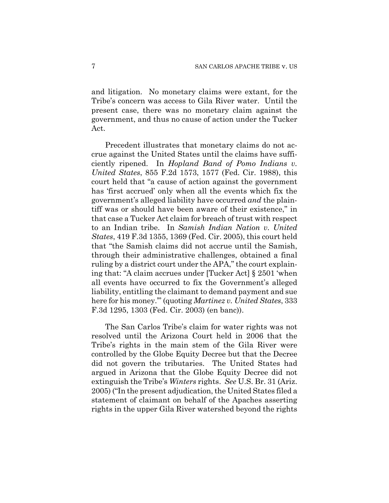and litigation. No monetary claims were extant, for the Tribe's concern was access to Gila River water. Until the present case, there was no monetary claim against the government, and thus no cause of action under the Tucker Act.

Precedent illustrates that monetary claims do not accrue against the United States until the claims have sufficiently ripened. In *Hopland Band of Pomo Indians v. United States*, 855 F.2d 1573, 1577 (Fed. Cir. 1988), this court held that "a cause of action against the government has 'first accrued' only when all the events which fix the government's alleged liability have occurred *and* the plaintiff was or should have been aware of their existence," in that case a Tucker Act claim for breach of trust with respect to an Indian tribe. In *Samish Indian Nation v. United States*, 419 F.3d 1355, 1369 (Fed. Cir. 2005), this court held that "the Samish claims did not accrue until the Samish, through their administrative challenges, obtained a final ruling by a district court under the APA," the court explaining that: "A claim accrues under [Tucker Act] § 2501 'when all events have occurred to fix the Government's alleged liability, entitling the claimant to demand payment and sue here for his money.'" (quoting *Martinez v. United States*, 333 F.3d 1295, 1303 (Fed. Cir. 2003) (en banc)).

The San Carlos Tribe's claim for water rights was not resolved until the Arizona Court held in 2006 that the Tribe's rights in the main stem of the Gila River were controlled by the Globe Equity Decree but that the Decree did not govern the tributaries. The United States had argued in Arizona that the Globe Equity Decree did not extinguish the Tribe's *Winters* rights. *See* U.S. Br. 31 (Ariz. 2005) ("In the present adjudication, the United States filed a statement of claimant on behalf of the Apaches asserting rights in the upper Gila River watershed beyond the rights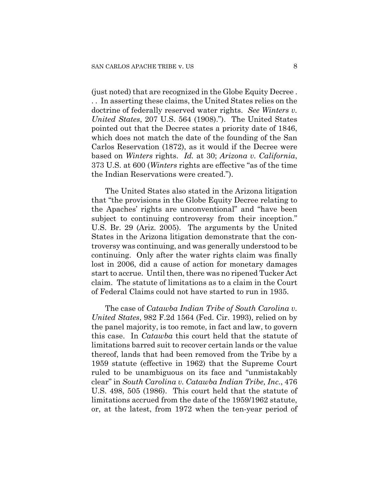(just noted) that are recognized in the Globe Equity Decree . . . In asserting these claims, the United States relies on the doctrine of federally reserved water rights. *See Winters v. United States*, 207 U.S. 564 (1908)."). The United States pointed out that the Decree states a priority date of 1846, which does not match the date of the founding of the San Carlos Reservation (1872), as it would if the Decree were based on *Winters* rights. *Id.* at 30; *Arizona v. California*, 373 U.S. at 600 (*Winters* rights are effective "as of the time the Indian Reservations were created.").

The United States also stated in the Arizona litigation that "the provisions in the Globe Equity Decree relating to the Apaches' rights are unconventional" and "have been subject to continuing controversy from their inception." U.S. Br. 29 (Ariz. 2005). The arguments by the United States in the Arizona litigation demonstrate that the controversy was continuing, and was generally understood to be continuing. Only after the water rights claim was finally lost in 2006, did a cause of action for monetary damages start to accrue. Until then, there was no ripened Tucker Act claim. The statute of limitations as to a claim in the Court of Federal Claims could not have started to run in 1935.

The case of *Catawba Indian Tribe of South Carolina v. United States*, 982 F.2d 1564 (Fed. Cir. 1993), relied on by the panel majority, is too remote, in fact and law, to govern this case. In *Catawba* this court held that the statute of limitations barred suit to recover certain lands or the value thereof, lands that had been removed from the Tribe by a 1959 statute (effective in 1962) that the Supreme Court ruled to be unambiguous on its face and "unmistakably clear" in *South Carolina v. Catawba Indian Tribe, Inc.*, 476 U.S. 498, 505 (1986). This court held that the statute of limitations accrued from the date of the 1959/1962 statute, or, at the latest, from 1972 when the ten-year period of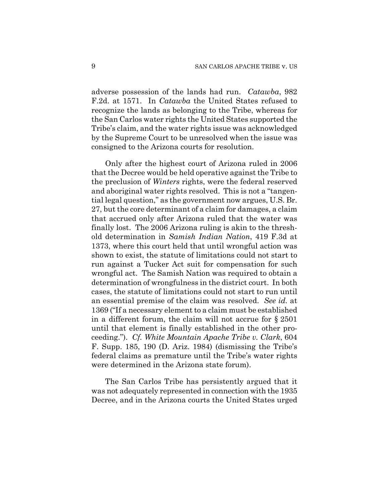adverse possession of the lands had run. *Catawba*, 982 F.2d. at 1571. In *Catawba* the United States refused to recognize the lands as belonging to the Tribe, whereas for the San Carlos water rights the United States supported the Tribe's claim, and the water rights issue was acknowledged by the Supreme Court to be unresolved when the issue was consigned to the Arizona courts for resolution.

Only after the highest court of Arizona ruled in 2006 that the Decree would be held operative against the Tribe to the preclusion of *Winters* rights, were the federal reserved and aboriginal water rights resolved. This is not a "tangential legal question," as the government now argues, U.S. Br. 27, but the core determinant of a claim for damages, a claim that accrued only after Arizona ruled that the water was finally lost. The 2006 Arizona ruling is akin to the threshold determination in *Samish Indian Nation*, 419 F.3d at 1373, where this court held that until wrongful action was shown to exist, the statute of limitations could not start to run against a Tucker Act suit for compensation for such wrongful act. The Samish Nation was required to obtain a determination of wrongfulness in the district court. In both cases, the statute of limitations could not start to run until an essential premise of the claim was resolved. *See id.* at 1369 ("If a necessary element to a claim must be established in a different forum, the claim will not accrue for § 2501 until that element is finally established in the other proceeding."). *Cf. White Mountain Apache Tribe v. Clark*, 604 F. Supp. 185, 190 (D. Ariz. 1984) (dismissing the Tribe's federal claims as premature until the Tribe's water rights were determined in the Arizona state forum).

The San Carlos Tribe has persistently argued that it was not adequately represented in connection with the 1935 Decree, and in the Arizona courts the United States urged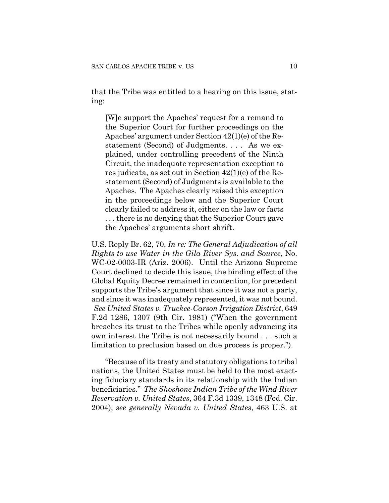that the Tribe was entitled to a hearing on this issue, stating:

[W]e support the Apaches' request for a remand to the Superior Court for further proceedings on the Apaches' argument under Section 42(1)(e) of the Restatement (Second) of Judgments. . . . As we explained, under controlling precedent of the Ninth Circuit, the inadequate representation exception to res judicata, as set out in Section 42(1)(e) of the Restatement (Second) of Judgments is available to the Apaches. The Apaches clearly raised this exception in the proceedings below and the Superior Court clearly failed to address it, either on the law or facts . . . there is no denying that the Superior Court gave the Apaches' arguments short shrift.

U.S. Reply Br. 62, 70, *In re: The General Adjudication of all Rights to use Water in the Gila River Sys. and Source*, No. WC-02-0003-IR (Ariz. 2006). Until the Arizona Supreme Court declined to decide this issue, the binding effect of the Global Equity Decree remained in contention, for precedent supports the Tribe's argument that since it was not a party, and since it was inadequately represented, it was not bound. *See United States v. Truckee-Carson Irrigation District*, 649 F.2d 1286, 1307 (9th Cir. 1981) ("When the government breaches its trust to the Tribes while openly advancing its own interest the Tribe is not necessarily bound . . . such a limitation to preclusion based on due process is proper.").

"Because of its treaty and statutory obligations to tribal nations, the United States must be held to the most exacting fiduciary standards in its relationship with the Indian beneficiaries." *The Shoshone Indian Tribe of the Wind River Reservation v. United States*, 364 F.3d 1339, 1348 (Fed. Cir. 2004); *see generally Nevada v. United States*, 463 U.S. at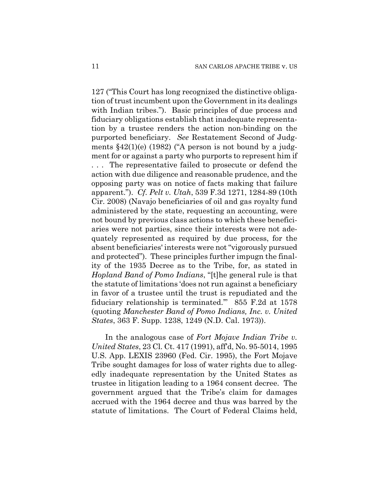127 ("This Court has long recognized the distinctive obligation of trust incumbent upon the Government in its dealings with Indian tribes."). Basic principles of due process and fiduciary obligations establish that inadequate representation by a trustee renders the action non-binding on the purported beneficiary. *See* Restatement Second of Judgments  $$42(1)(e)$  (1982) ("A person is not bound by a judgment for or against a party who purports to represent him if

. . . The representative failed to prosecute or defend the action with due diligence and reasonable prudence, and the opposing party was on notice of facts making that failure apparent."). *Cf. Pelt v. Utah*, 539 F.3d 1271, 1284-89 (10th Cir. 2008) (Navajo beneficiaries of oil and gas royalty fund administered by the state, requesting an accounting, were not bound by previous class actions to which these beneficiaries were not parties, since their interests were not adequately represented as required by due process, for the absent beneficiaries' interests were not "vigorously pursued and protected"). These principles further impugn the finality of the 1935 Decree as to the Tribe, for, as stated in *Hopland Band of Pomo Indians*, "[t]he general rule is that the statute of limitations 'does not run against a beneficiary in favor of a trustee until the trust is repudiated and the fiduciary relationship is terminated.'" 855 F.2d at 1578 (quoting *Manchester Band of Pomo Indians, Inc. v. United States*, 363 F. Supp. 1238, 1249 (N.D. Cal. 1973)).

In the analogous case of *Fort Mojave Indian Tribe v. United States*, 23 Cl. Ct. 417 (1991), aff'd, No. 95-5014, 1995 U.S. App. LEXIS 23960 (Fed. Cir. 1995), the Fort Mojave Tribe sought damages for loss of water rights due to allegedly inadequate representation by the United States as trustee in litigation leading to a 1964 consent decree. The government argued that the Tribe's claim for damages accrued with the 1964 decree and thus was barred by the statute of limitations. The Court of Federal Claims held,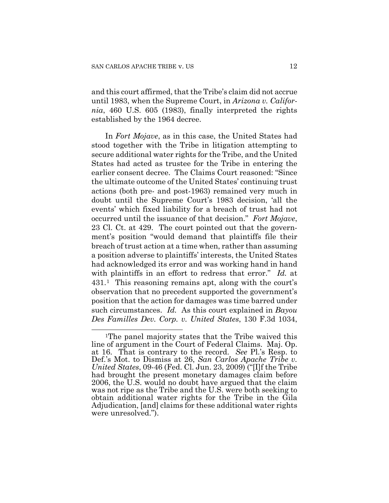and this court affirmed, that the Tribe's claim did not accrue until 1983, when the Supreme Court, in *Arizona v. California*, 460 U.S. 605 (1983), finally interpreted the rights established by the 1964 decree.

In *Fort Mojave*, as in this case, the United States had stood together with the Tribe in litigation attempting to secure additional water rights for the Tribe, and the United States had acted as trustee for the Tribe in entering the earlier consent decree. The Claims Court reasoned: "Since the ultimate outcome of the United States' continuing trust actions (both pre- and post-1963) remained very much in doubt until the Supreme Court's 1983 decision, 'all the events' which fixed liability for a breach of trust had not occurred until the issuance of that decision." *Fort Mojave*, 23 Cl. Ct. at 429. The court pointed out that the government's position "would demand that plaintiffs file their breach of trust action at a time when, rather than assuming a position adverse to plaintiffs' interests, the United States had acknowledged its error and was working hand in hand with plaintiffs in an effort to redress that error." *Id.* at 431.[1](#page-29-0) This reasoning remains apt, along with the court's observation that no precedent supported the government's position that the action for damages was time barred under such circumstances. *Id.* As this court explained in *Bayou Des Familles Dev. Corp. v. United States*, 130 F.3d 1034,

<span id="page-29-0"></span> $\overline{a}$ 1The panel majority states that the Tribe waived this line of argument in the Court of Federal Claims. Maj. Op. at 16. That is contrary to the record. *See* Pl.'s Resp. to Def.'s Mot. to Dismiss at 26, *San Carlos Apache Tribe v. United States*, 09-46 (Fed. Cl. Jun. 23, 2009) ("[I]f the Tribe had brought the present monetary damages claim before 2006, the U.S. would no doubt have argued that the claim was not ripe as the Tribe and the U.S. were both seeking to obtain additional water rights for the Tribe in the Gila Adjudication, [and] claims for these additional water rights were unresolved.").